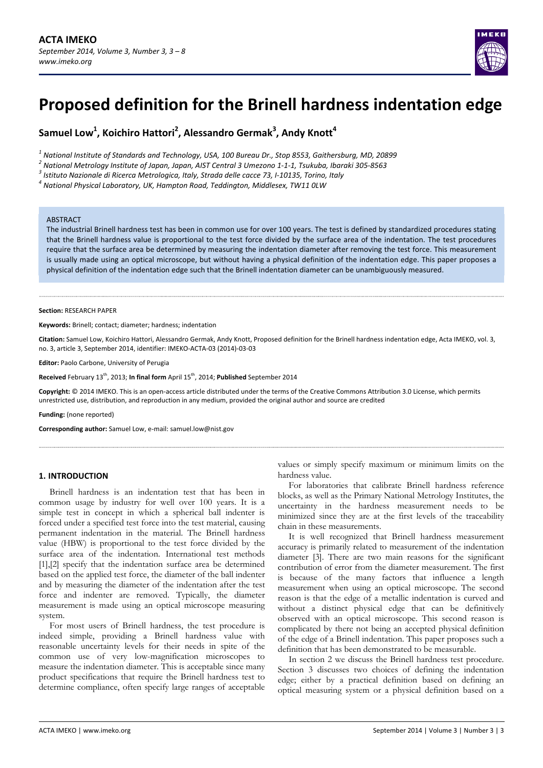# **Proposed definition for the Brinell hardness indentation edge**

 ${\sf Samuel Low}^1$ , <code>Koichiro Hattori<sup>2</sup>, Alessandro Germak<sup>3</sup>, Andy Knott<sup>4</sup></code>

<sup>1</sup> National Institute of Standards and Technology, USA, 100 Bureau Dr., Stop 8553, Gaithersburg, MD, 20899<sup>2</sup><br><sup>2</sup> National Metrology Institute of Japan, Japan, AIST Central 3 Umezono 1-1-1, Tsukuba, Ibaraki 305-8563<br><sup>3</sup>

#### ABSTRACT

The industrial Brinell hardness test has been in common use for over 100 years. The test is defined by standardized procedures stating that the Brinell hardness value is proportional to the test force divided by the surface area of the indentation. The test procedures require that the surface area be determined by measuring the indentation diameter after removing the test force. This measurement is usually made using an optical microscope, but without having a physical definition of the indentation edge. This paper proposes a physical definition of the indentation edge such that the Brinell indentation diameter can be unambiguously measured.

#### **Section:** RESEARCH PAPER

**Keywords:** Brinell; contact; diameter; hardness; indentation

**Citation:** Samuel Low, Koichiro Hattori, Alessandro Germak, Andy Knott, Proposed definition for the Brinell hardness indentation edge, Acta IMEKO, vol. 3, no. 3, article 3, September 2014, identifier: IMEKO‐ACTA‐03 (2014)‐03‐03

**Editor:** Paolo Carbone, University of Perugia

**Received** February 13th, 2013; **In final form** April 15th, 2014; **Published** September 2014

**Copyright:** © 2014 IMEKO. This is an open‐access article distributed under the terms of the Creative Commons Attribution 3.0 License, which permits unrestricted use, distribution, and reproduction in any medium, provided the original author and source are credited

**Funding:** (none reported)

**Corresponding author:** Samuel Low, e‐mail: samuel.low@nist.gov

### **1. INTRODUCTION**

Brinell hardness is an indentation test that has been in common usage by industry for well over 100 years. It is a simple test in concept in which a spherical ball indenter is forced under a specified test force into the test material, causing permanent indentation in the material. The Brinell hardness value (HBW) is proportional to the test force divided by the surface area of the indentation. International test methods [1],[2] specify that the indentation surface area be determined based on the applied test force, the diameter of the ball indenter and by measuring the diameter of the indentation after the test force and indenter are removed. Typically, the diameter measurement is made using an optical microscope measuring system.

For most users of Brinell hardness, the test procedure is indeed simple, providing a Brinell hardness value with reasonable uncertainty levels for their needs in spite of the common use of very low-magnification microscopes to measure the indentation diameter. This is acceptable since many product specifications that require the Brinell hardness test to determine compliance, often specify large ranges of acceptable

values or simply specify maximum or minimum limits on the hardness value.

For laboratories that calibrate Brinell hardness reference blocks, as well as the Primary National Metrology Institutes, the uncertainty in the hardness measurement needs to be minimized since they are at the first levels of the traceability chain in these measurements.

It is well recognized that Brinell hardness measurement accuracy is primarily related to measurement of the indentation diameter [3]. There are two main reasons for the significant contribution of error from the diameter measurement. The first is because of the many factors that influence a length measurement when using an optical microscope. The second reason is that the edge of a metallic indentation is curved and without a distinct physical edge that can be definitively observed with an optical microscope. This second reason is complicated by there not being an accepted physical definition of the edge of a Brinell indentation. This paper proposes such a definition that has been demonstrated to be measurable.

In section 2 we discuss the Brinell hardness test procedure. Section 3 discusses two choices of defining the indentation edge; either by a practical definition based on defining an optical measuring system or a physical definition based on a

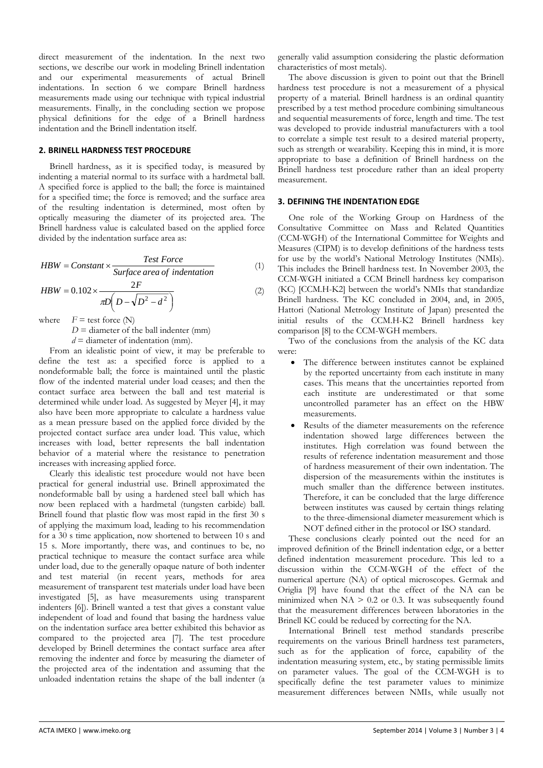direct measurement of the indentation. In the next two sections, we describe our work in modeling Brinell indentation and our experimental measurements of actual Brinell indentations. In section 6 we compare Brinell hardness measurements made using our technique with typical industrial measurements. Finally, in the concluding section we propose physical definitions for the edge of a Brinell hardness indentation and the Brinell indentation itself.

### **2. BRINELL HARDNESS TEST PROCEDURE**

Brinell hardness, as it is specified today, is measured by indenting a material normal to its surface with a hardmetal ball. A specified force is applied to the ball; the force is maintained for a specified time; the force is removed; and the surface area of the resulting indentation is determined, most often by optically measuring the diameter of its projected area. The Brinell hardness value is calculated based on the applied force divided by the indentation surface area as:

$$
HBW = Constant \times \frac{Test Force}{Surface area of indentation}
$$
 (1)

$$
HBW = 0.102 \times \frac{2F}{\pi D \left(D - \sqrt{D^2 - d^2}\right)}
$$
\n(2)

where  $F = \text{test force (N)}$ 

 $D =$  diameter of the ball indenter (mm)

 $d =$  diameter of indentation (mm).

From an idealistic point of view, it may be preferable to define the test as: a specified force is applied to a nondeformable ball; the force is maintained until the plastic flow of the indented material under load ceases; and then the contact surface area between the ball and test material is determined while under load. As suggested by Meyer [4], it may also have been more appropriate to calculate a hardness value as a mean pressure based on the applied force divided by the projected contact surface area under load. This value, which increases with load, better represents the ball indentation behavior of a material where the resistance to penetration increases with increasing applied force.

Clearly this idealistic test procedure would not have been practical for general industrial use. Brinell approximated the nondeformable ball by using a hardened steel ball which has now been replaced with a hardmetal (tungsten carbide) ball. Brinell found that plastic flow was most rapid in the first 30 s of applying the maximum load, leading to his recommendation for a 30 s time application, now shortened to between 10 s and 15 s. More importantly, there was, and continues to be, no practical technique to measure the contact surface area while under load, due to the generally opaque nature of both indenter and test material (in recent years, methods for area measurement of transparent test materials under load have been investigated [5], as have measurements using transparent indenters [6]). Brinell wanted a test that gives a constant value independent of load and found that basing the hardness value on the indentation surface area better exhibited this behavior as compared to the projected area [7]. The test procedure developed by Brinell determines the contact surface area after removing the indenter and force by measuring the diameter of the projected area of the indentation and assuming that the unloaded indentation retains the shape of the ball indenter (a

generally valid assumption considering the plastic deformation characteristics of most metals).

The above discussion is given to point out that the Brinell hardness test procedure is not a measurement of a physical property of a material. Brinell hardness is an ordinal quantity prescribed by a test method procedure combining simultaneous and sequential measurements of force, length and time. The test was developed to provide industrial manufacturers with a tool to correlate a simple test result to a desired material property, such as strength or wearability. Keeping this in mind, it is more appropriate to base a definition of Brinell hardness on the Brinell hardness test procedure rather than an ideal property measurement.

# **3. DEFINING THE INDENTATION EDGE**

One role of the Working Group on Hardness of the Consultative Committee on Mass and Related Quantities (CCM-WGH) of the International Committee for Weights and Measures (CIPM) is to develop definitions of the hardness tests for use by the world's National Metrology Institutes (NMIs). This includes the Brinell hardness test. In November 2003, the CCM-WGH initiated a CCM Brinell hardness key comparison (KC) [CCM.H-K2] between the world's NMIs that standardize Brinell hardness. The KC concluded in 2004, and, in 2005, Hattori (National Metrology Institute of Japan) presented the initial results of the CCM.H-K2 Brinell hardness key comparison [8] to the CCM-WGH members.

Two of the conclusions from the analysis of the KC data were:

- The difference between institutes cannot be explained by the reported uncertainty from each institute in many cases. This means that the uncertainties reported from each institute are underestimated or that some uncontrolled parameter has an effect on the HBW measurements.
- Results of the diameter measurements on the reference indentation showed large differences between the institutes. High correlation was found between the results of reference indentation measurement and those of hardness measurement of their own indentation. The dispersion of the measurements within the institutes is much smaller than the difference between institutes. Therefore, it can be concluded that the large difference between institutes was caused by certain things relating to the three-dimensional diameter measurement which is NOT defined either in the protocol or ISO standard.

These conclusions clearly pointed out the need for an improved definition of the Brinell indentation edge, or a better defined indentation measurement procedure. This led to a discussion within the CCM-WGH of the effect of the numerical aperture (NA) of optical microscopes. Germak and Origlia [9] have found that the effect of the NA can be minimized when  $NA > 0.2$  or 0.3. It was subsequently found that the measurement differences between laboratories in the Brinell KC could be reduced by correcting for the NA.

International Brinell test method standards prescribe requirements on the various Brinell hardness test parameters, such as for the application of force, capability of the indentation measuring system, etc., by stating permissible limits on parameter values. The goal of the CCM-WGH is to specifically define the test parameter values to minimize measurement differences between NMIs, while usually not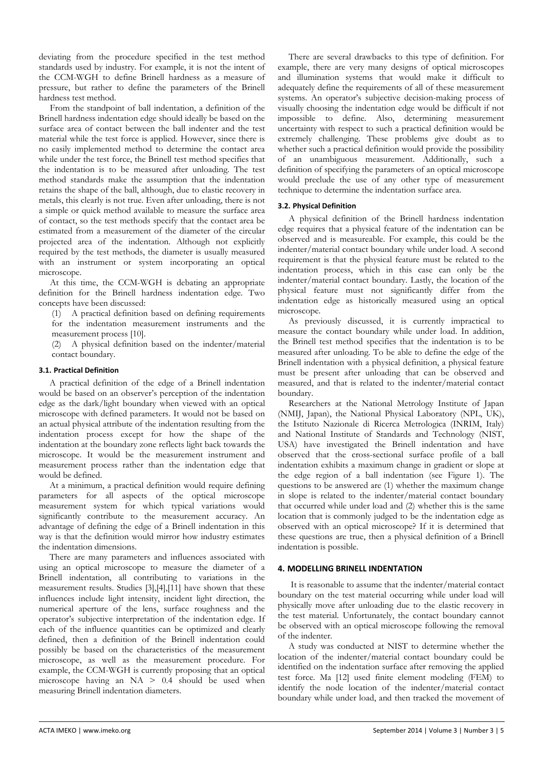deviating from the procedure specified in the test method standards used by industry. For example, it is not the intent of the CCM-WGH to define Brinell hardness as a measure of pressure, but rather to define the parameters of the Brinell hardness test method.

From the standpoint of ball indentation, a definition of the Brinell hardness indentation edge should ideally be based on the surface area of contact between the ball indenter and the test material while the test force is applied. However, since there is no easily implemented method to determine the contact area while under the test force, the Brinell test method specifies that the indentation is to be measured after unloading. The test method standards make the assumption that the indentation retains the shape of the ball, although, due to elastic recovery in metals, this clearly is not true. Even after unloading, there is not a simple or quick method available to measure the surface area of contact, so the test methods specify that the contact area be estimated from a measurement of the diameter of the circular projected area of the indentation. Although not explicitly required by the test methods, the diameter is usually measured with an instrument or system incorporating an optical microscope.

At this time, the CCM-WGH is debating an appropriate definition for the Brinell hardness indentation edge. Two concepts have been discussed:

(1) A practical definition based on defining requirements for the indentation measurement instruments and the measurement process [10].

(2) A physical definition based on the indenter/material contact boundary.

# **3.1. Practical Definition**

A practical definition of the edge of a Brinell indentation would be based on an observer's perception of the indentation edge as the dark/light boundary when viewed with an optical microscope with defined parameters. It would not be based on an actual physical attribute of the indentation resulting from the indentation process except for how the shape of the indentation at the boundary zone reflects light back towards the microscope. It would be the measurement instrument and measurement process rather than the indentation edge that would be defined.

At a minimum, a practical definition would require defining parameters for all aspects of the optical microscope measurement system for which typical variations would significantly contribute to the measurement accuracy. An advantage of defining the edge of a Brinell indentation in this way is that the definition would mirror how industry estimates the indentation dimensions.

There are many parameters and influences associated with using an optical microscope to measure the diameter of a Brinell indentation, all contributing to variations in the measurement results. Studies [3],[4],[11] have shown that these influences include light intensity, incident light direction, the numerical aperture of the lens, surface roughness and the operator's subjective interpretation of the indentation edge. If each of the influence quantities can be optimized and clearly defined, then a definition of the Brinell indentation could possibly be based on the characteristics of the measurement microscope, as well as the measurement procedure. For example, the CCM-WGH is currently proposing that an optical microscope having an  $NA$  > 0.4 should be used when measuring Brinell indentation diameters.

There are several drawbacks to this type of definition. For example, there are very many designs of optical microscopes and illumination systems that would make it difficult to adequately define the requirements of all of these measurement systems. An operator's subjective decision-making process of visually choosing the indentation edge would be difficult if not impossible to define. Also, determining measurement uncertainty with respect to such a practical definition would be extremely challenging. These problems give doubt as to whether such a practical definition would provide the possibility of an unambiguous measurement. Additionally, such a definition of specifying the parameters of an optical microscope would preclude the use of any other type of measurement technique to determine the indentation surface area.

# **3.2. Physical Definition**

A physical definition of the Brinell hardness indentation edge requires that a physical feature of the indentation can be observed and is measureable. For example, this could be the indenter/material contact boundary while under load. A second requirement is that the physical feature must be related to the indentation process, which in this case can only be the indenter/material contact boundary. Lastly, the location of the physical feature must not significantly differ from the indentation edge as historically measured using an optical microscope.

As previously discussed, it is currently impractical to measure the contact boundary while under load. In addition, the Brinell test method specifies that the indentation is to be measured after unloading. To be able to define the edge of the Brinell indentation with a physical definition, a physical feature must be present after unloading that can be observed and measured, and that is related to the indenter/material contact boundary.

Researchers at the National Metrology Institute of Japan (NMIJ, Japan), the National Physical Laboratory (NPL, UK), the Istituto Nazionale di Ricerca Metrologica (INRIM, Italy) and National Institute of Standards and Technology (NIST, USA) have investigated the Brinell indentation and have observed that the cross-sectional surface profile of a ball indentation exhibits a maximum change in gradient or slope at the edge region of a ball indentation (see Figure 1). The questions to be answered are (1) whether the maximum change in slope is related to the indenter/material contact boundary that occurred while under load and (2) whether this is the same location that is commonly judged to be the indentation edge as observed with an optical microscope? If it is determined that these questions are true, then a physical definition of a Brinell indentation is possible.

# **4. MODELLING BRINELL INDENTATION**

It is reasonable to assume that the indenter/material contact boundary on the test material occurring while under load will physically move after unloading due to the elastic recovery in the test material. Unfortunately, the contact boundary cannot be observed with an optical microscope following the removal of the indenter.

A study was conducted at NIST to determine whether the location of the indenter/material contact boundary could be identified on the indentation surface after removing the applied test force. Ma [12] used finite element modeling (FEM) to identify the node location of the indenter/material contact boundary while under load, and then tracked the movement of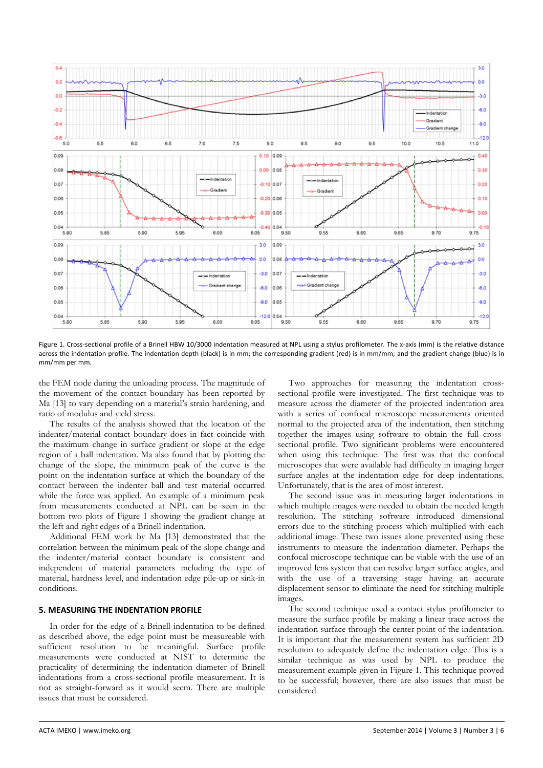

Figure 1. Cross-sectional profile of a Brinell HBW 10/3000 indentation measured at NPL using a stylus profilometer. The x-axis (mm) is the relative distance across the indentation profile. The indentation depth (black) is in mm; the corresponding gradient (red) is in mm/mm; and the gradient change (blue) is in mm/mm per mm.

the FEM node during the unloading process. The magnitude of the movement of the contact boundary has been reported by Ma [13] to vary depending on a material's strain hardening, and ratio of modulus and yield stress.

The results of the analysis showed that the location of the indenter/material contact boundary does in fact coincide with the maximum change in surface gradient or slope at the edge region of a ball indentation. Ma also found that by plotting the change of the slope, the minimum peak of the curve is the point on the indentation surface at which the boundary of the contact between the indenter ball and test material occurred while the force was applied. An example of a minimum peak from measurements conducted at NPL can be seen in the bottom two plots of Figure 1 showing the gradient change at the left and right edges of a Brinell indentation.

Additional FEM work by Ma [13] demonstrated that the correlation between the minimum peak of the slope change and the indenter/material contact boundary is consistent and independent of material parameters including the type of material, hardness level, and indentation edge pile-up or sink-in conditions.

# **5. MEASURING THE INDENTATION PROFILE**

In order for the edge of a Brinell indentation to be defined as described above, the edge point must be measureable with sufficient resolution to be meaningful. Surface profile measurements were conducted at NIST to determine the practicality of determining the indentation diameter of Brinell indentations from a cross-sectional profile measurement. It is not as straight-forward as it would seem. There are multiple issues that must be considered.

Two approaches for measuring the indentation crosssectional profile were investigated. The first technique was to measure across the diameter of the projected indentation area with a series of confocal microscope measurements oriented normal to the projected area of the indentation, then stitching together the images using software to obtain the full crosssectional profile. Two significant problems were encountered when using this technique. The first was that the confocal microscopes that were available had difficulty in imaging larger surface angles at the indentation edge for deep indentations. Unfortunately, that is the area of most interest.

The second issue was in measuring larger indentations in which multiple images were needed to obtain the needed length resolution. The stitching software introduced dimensional errors due to the stitching process which multiplied with each additional image. These two issues alone prevented using these instruments to measure the indentation diameter. Perhaps the confocal microscope technique can be viable with the use of an improved lens system that can resolve larger surface angles, and with the use of a traversing stage having an accurate displacement sensor to eliminate the need for stitching multiple images.

The second technique used a contact stylus profilometer to measure the surface profile by making a linear trace across the indentation surface through the center point of the indentation. It is important that the measurement system has sufficient 2D resolution to adequately define the indentation edge. This is a similar technique as was used by NPL to produce the measurement example given in Figure 1. This technique proved to be successful; however, there are also issues that must be considered.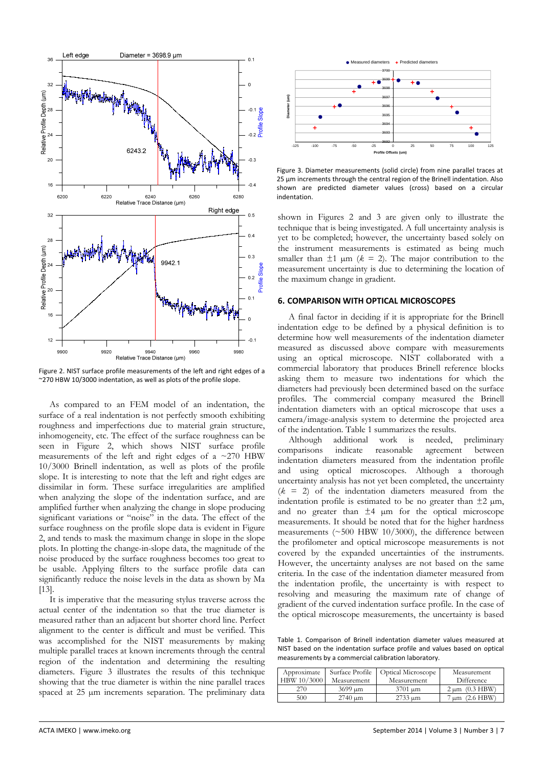

Figure 2. NIST surface profile measurements of the left and right edges of a ~270 HBW 10/3000 indentation, as well as plots of the profile slope.

As compared to an FEM model of an indentation, the surface of a real indentation is not perfectly smooth exhibiting roughness and imperfections due to material grain structure, inhomogeneity, etc. The effect of the surface roughness can be seen in Figure 2, which shows NIST surface profile measurements of the left and right edges of a  $\approx$  270 HBW 10/3000 Brinell indentation, as well as plots of the profile slope. It is interesting to note that the left and right edges are dissimilar in form. These surface irregularities are amplified when analyzing the slope of the indentation surface, and are amplified further when analyzing the change in slope producing significant variations or "noise" in the data. The effect of the surface roughness on the profile slope data is evident in Figure 2, and tends to mask the maximum change in slope in the slope plots. In plotting the change-in-slope data, the magnitude of the noise produced by the surface roughness becomes too great to be usable. Applying filters to the surface profile data can significantly reduce the noise levels in the data as shown by Ma [13].

It is imperative that the measuring stylus traverse across the actual center of the indentation so that the true diameter is measured rather than an adjacent but shorter chord line. Perfect alignment to the center is difficult and must be verified. This was accomplished for the NIST measurements by making multiple parallel traces at known increments through the central region of the indentation and determining the resulting diameters. Figure 3 illustrates the results of this technique showing that the true diameter is within the nine parallel traces spaced at 25 µm increments separation. The preliminary data



Figure 3. Diameter measurements (solid circle) from nine parallel traces at 25 µm increments through the central region of the Brinell indentation. Also shown are predicted diameter values (cross) based on a circular indentation.

shown in Figures 2 and 3 are given only to illustrate the technique that is being investigated. A full uncertainty analysis is yet to be completed; however, the uncertainty based solely on the instrument measurements is estimated as being much smaller than  $\pm 1$   $\mu$ m ( $k = 2$ ). The major contribution to the measurement uncertainty is due to determining the location of the maximum change in gradient.

### **6. COMPARISON WITH OPTICAL MICROSCOPES**

A final factor in deciding if it is appropriate for the Brinell indentation edge to be defined by a physical definition is to determine how well measurements of the indentation diameter measured as discussed above compare with measurements using an optical microscope. NIST collaborated with a commercial laboratory that produces Brinell reference blocks asking them to measure two indentations for which the diameters had previously been determined based on the surface profiles. The commercial company measured the Brinell indentation diameters with an optical microscope that uses a camera/image-analysis system to determine the projected area of the indentation. Table 1 summarizes the results.

Although additional work is needed, preliminary comparisons indicate reasonable agreement between indentation diameters measured from the indentation profile and using optical microscopes. Although a thorough uncertainty analysis has not yet been completed, the uncertainty  $(k = 2)$  of the indentation diameters measured from the indentation profile is estimated to be no greater than  $\pm 2 \mu m$ , and no greater than  $\pm 4$  µm for the optical microscope measurements. It should be noted that for the higher hardness measurements (~500 HBW 10/3000), the difference between the profilometer and optical microscope measurements is not covered by the expanded uncertainties of the instruments. However, the uncertainty analyses are not based on the same criteria. In the case of the indentation diameter measured from the indentation profile, the uncertainty is with respect to resolving and measuring the maximum rate of change of gradient of the curved indentation surface profile. In the case of the optical microscope measurements, the uncertainty is based

Table 1. Comparison of Brinell indentation diameter values measured at NIST based on the indentation surface profile and values based on optical measurements by a commercial calibration laboratory.

| Approximate<br>HBW 10/3000 | Surface Profile<br>Measurement | <b>Optical Microscope</b><br>Measurement | Measurement<br>Difference |
|----------------------------|--------------------------------|------------------------------------------|---------------------------|
| 270                        | $3699 \mu m$                   | $3701 \mu m$                             | $2 \mu m$ (0.3 HBW)       |
| 500                        | $2740 \text{ µm}$              | 2733 um                                  | $(2.6$ HBW<br>um          |